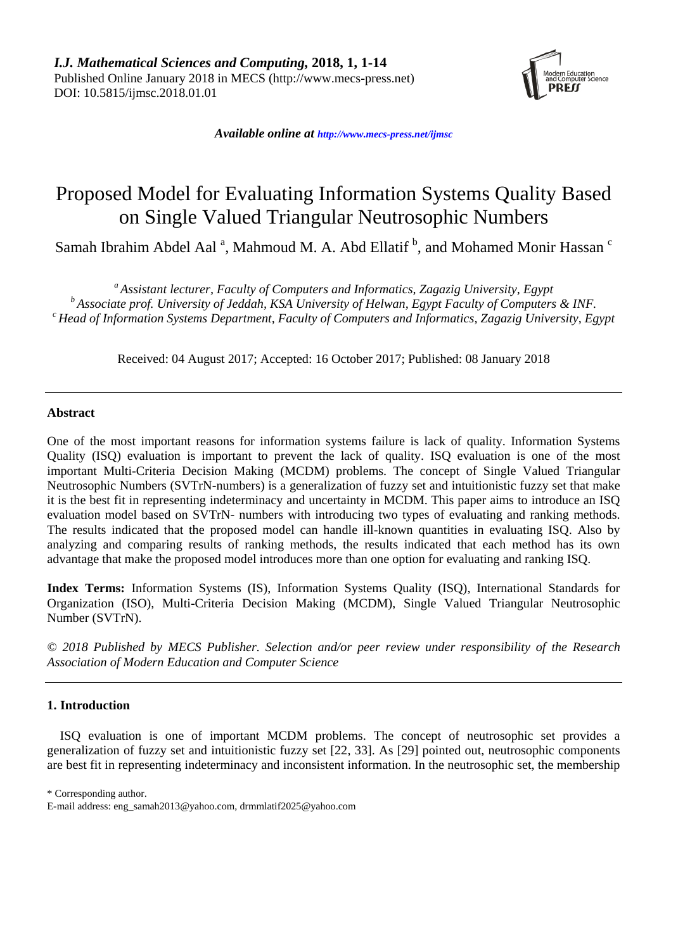

*Available online at [http://www.mecs-press.net/ijm](http://www.mecs-press.net/ijwmt)sc*

# Proposed Model for Evaluating Information Systems Quality Based on Single Valued Triangular Neutrosophic Numbers

Samah Ibrahim Abdel Aal<sup>a</sup>, Mahmoud M. A. Abd Ellatif <sup>b</sup>, and Mohamed Monir Hassan <sup>c</sup>

*<sup>a</sup>Assistant lecturer, Faculty of Computers and Informatics, Zagazig University, Egypt*

*<sup>b</sup>Associate prof. University of Jeddah, KSA University of Helwan, Egypt Faculty of Computers & INF. <sup>c</sup>Head of Information Systems Department, Faculty of Computers and Informatics, Zagazig University, Egypt*

Received: 04 August 2017; Accepted: 16 October 2017; Published: 08 January 2018

# **Abstract**

One of the most important reasons for information systems failure is lack of quality. Information Systems Quality (ISQ) evaluation is important to prevent the lack of quality. ISQ evaluation is one of the most important Multi-Criteria Decision Making (MCDM) problems. The concept of Single Valued Triangular Neutrosophic Numbers (SVTrN-numbers) is a generalization of fuzzy set and intuitionistic fuzzy set that make it is the best fit in representing indeterminacy and uncertainty in MCDM. This paper aims to introduce an ISQ evaluation model based on SVTrN- numbers with introducing two types of evaluating and ranking methods. The results indicated that the proposed model can handle ill-known quantities in evaluating ISQ. Also by analyzing and comparing results of ranking methods, the results indicated that each method has its own advantage that make the proposed model introduces more than one option for evaluating and ranking ISQ.

**Index Terms:** Information Systems (IS), Information Systems Quality (ISQ), International Standards for Organization (ISO), Multi-Criteria Decision Making (MCDM), Single Valued Triangular Neutrosophic Number (SVTrN).

*© 2018 Published by MECS Publisher. Selection and/or peer review under responsibility of the Research Association of Modern Education and Computer Science*

# **1. Introduction**

ISQ evaluation is one of important MCDM problems. The concept of neutrosophic set provides a generalization of fuzzy set and intuitionistic fuzzy set [22, 33]. As [29] pointed out, neutrosophic components are best fit in representing indeterminacy and inconsistent information. In the neutrosophic set, the membership

\* Corresponding author.

E-mail address: [eng\\_samah2013@yahoo.com,](mailto:eng_samah2013@yahoo.com) drmmlatif2025@yahoo.com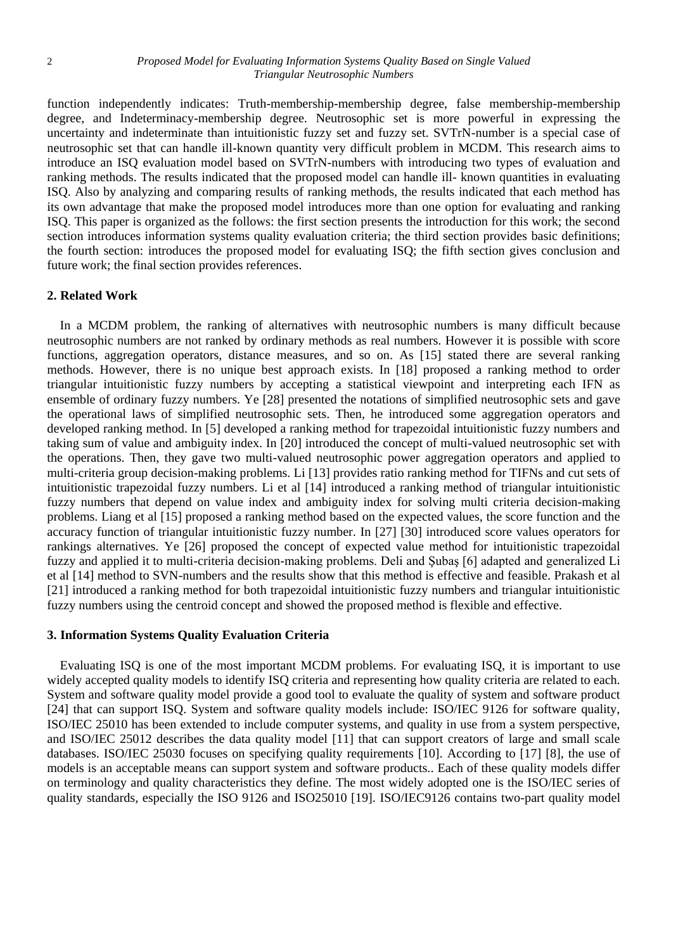function independently indicates: Truth-membership-membership degree, false membership-membership degree, and Indeterminacy-membership degree. Neutrosophic set is more powerful in expressing the uncertainty and indeterminate than intuitionistic fuzzy set and fuzzy set. SVTrN-number is a special case of neutrosophic set that can handle ill-known quantity very difficult problem in MCDM. This research aims to introduce an ISQ evaluation model based on SVTrN-numbers with introducing two types of evaluation and ranking methods. The results indicated that the proposed model can handle ill- known quantities in evaluating ISQ. Also by analyzing and comparing results of ranking methods, the results indicated that each method has its own advantage that make the proposed model introduces more than one option for evaluating and ranking ISQ. This paper is organized as the follows: the first section presents the introduction for this work; the second section introduces information systems quality evaluation criteria; the third section provides basic definitions; the fourth section: introduces the proposed model for evaluating ISQ; the fifth section gives conclusion and future work; the final section provides references.

# **2. Related Work**

In a MCDM problem, the ranking of alternatives with neutrosophic numbers is many difficult because neutrosophic numbers are not ranked by ordinary methods as real numbers. However it is possible with score functions, aggregation operators, distance measures, and so on. As [15] stated there are several ranking methods. However, there is no unique best approach exists. In [18] proposed a ranking method to order triangular intuitionistic fuzzy numbers by accepting a statistical viewpoint and interpreting each IFN as ensemble of ordinary fuzzy numbers. Ye [28] presented the notations of simplified neutrosophic sets and gave the operational laws of simplified neutrosophic sets. Then, he introduced some aggregation operators and developed ranking method. In [5] developed a ranking method for trapezoidal intuitionistic fuzzy numbers and taking sum of value and ambiguity index. In [20] introduced the concept of multi-valued neutrosophic set with the operations. Then, they gave two multi-valued neutrosophic power aggregation operators and applied to multi-criteria group decision-making problems. Li [13] provides ratio ranking method for TIFNs and cut sets of intuitionistic trapezoidal fuzzy numbers. Li et al [14] introduced a ranking method of triangular intuitionistic fuzzy numbers that depend on value index and ambiguity index for solving multi criteria decision-making problems. Liang et al [15] proposed a ranking method based on the expected values, the score function and the accuracy function of triangular intuitionistic fuzzy number. In [27] [30] introduced score values operators for rankings alternatives. Ye [26] proposed the concept of expected value method for intuitionistic trapezoidal fuzzy and applied it to multi-criteria decision-making problems. Deli and Şubaş [6] adapted and generalized Li et al [14] method to SVN-numbers and the results show that this method is effective and feasible. Prakash et al [21] introduced a ranking method for both trapezoidal intuitionistic fuzzy numbers and triangular intuitionistic fuzzy numbers using the centroid concept and showed the proposed method is flexible and effective.

# **3. Information Systems Quality Evaluation Criteria**

Evaluating ISQ is one of the most important MCDM problems. For evaluating ISQ, it is important to use widely accepted quality models to identify ISQ criteria and representing how quality criteria are related to each. System and software quality model provide a good tool to evaluate the quality of system and software product [24] that can support ISO. System and software quality models include: ISO/IEC 9126 for software quality, ISO/IEC 25010 has been extended to include computer systems, and quality in use from a system perspective, and ISO/IEC 25012 describes the data quality model [11] that can support creators of large and small scale databases. ISO/IEC 25030 focuses on specifying quality requirements [10]. According to [17] [8], the use of models is an acceptable means can support system and software products.. Each of these quality models differ on terminology and quality characteristics they define. The most widely adopted one is the ISO/IEC series of quality standards, especially the ISO 9126 and ISO25010 [19]. ISO/IEC9126 contains two-part quality model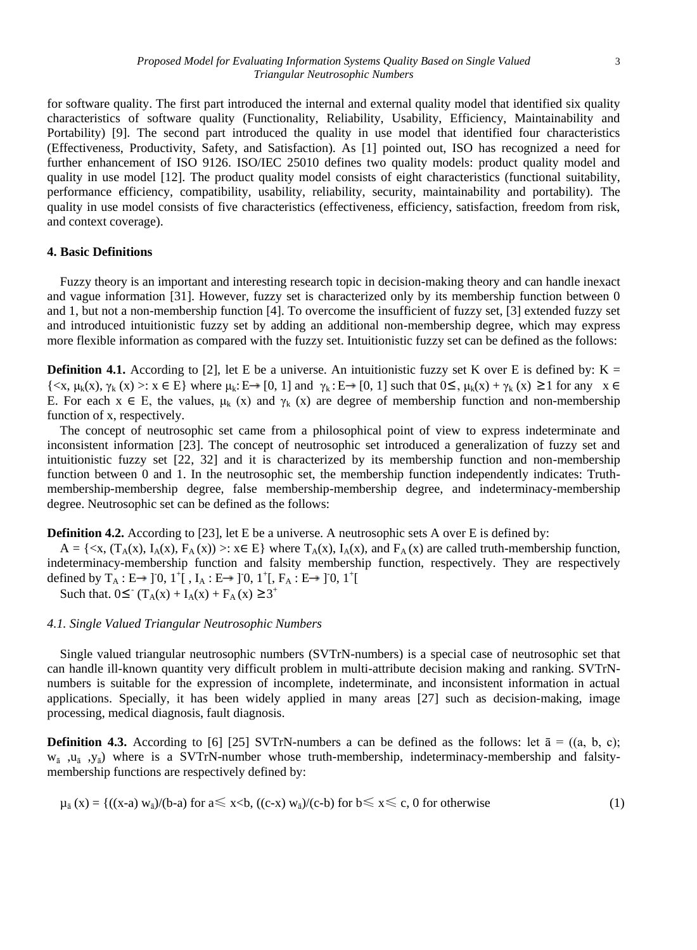for software quality. The first part introduced the internal and external quality model that identified six quality characteristics of software quality (Functionality, Reliability, Usability, Efficiency, Maintainability and Portability) [9]. The second part introduced the quality in use model that identified four characteristics (Effectiveness, Productivity, Safety, and Satisfaction). As [1] pointed out, ISO has recognized a need for further enhancement of ISO 9126. ISO/IEC 25010 defines two quality models: product quality model and quality in use model [12]. The product quality model consists of eight characteristics (functional suitability, performance efficiency, compatibility, usability, reliability, security, maintainability and portability). The quality in use model consists of five characteristics (effectiveness, efficiency, satisfaction, freedom from risk, and context coverage).

# **4. Basic Definitions**

Fuzzy theory is an important and interesting research topic in decision-making theory and can handle inexact and vague information [31]. However, fuzzy set is characterized only by its membership function between 0 and 1, but not a non-membership function [4]. To overcome the insufficient of fuzzy set, [3] extended fuzzy set and introduced intuitionistic fuzzy set by adding an additional non-membership degree, which may express more flexible information as compared with the fuzzy set. Intuitionistic fuzzy set can be defined as the follows:

**Definition 4.1.** According to [2], let E be a universe. An intuitionistic fuzzy set K over E is defined by:  $K =$  $\{ \langle x, \mu_k(x), \gamma_k(x) \rangle : x \in E \}$  where  $\mu_k: E \to [0, 1]$  and  $\gamma_k: E \to [0, 1]$  such that  $0 \leq \mu_k(x) + \gamma_k(x) \geq 1$  for any  $x \in E$ E. For each  $x \in E$ , the values,  $\mu_k(x)$  and  $\gamma_k(x)$  are degree of membership function and non-membership function of x, respectively.

The concept of neutrosophic set came from a philosophical point of view to express indeterminate and inconsistent information [23]. The concept of neutrosophic set introduced a generalization of fuzzy set and intuitionistic fuzzy set [22, 32] and it is characterized by its membership function and non-membership function between 0 and 1. In the neutrosophic set, the membership function independently indicates: Truthmembership-membership degree, false membership-membership degree, and indeterminacy-membership degree. Neutrosophic set can be defined as the follows:

**Definition 4.2.** According to [23], let E be a universe. A neutrosophic sets A over E is defined by:

 $A = \{ \langle x, (T_A(x), I_A(x), F_A(x)) \rangle : x \in E \}$  where  $T_A(x), I_A(x)$ , and  $F_A(x)$  are called truth-membership function, indeterminacy-membership function and falsity membership function, respectively. They are respectively defined by  $T_A : E \rightarrow ]0, 1^+[$ ,  $I_A : E \rightarrow ]0, 1^+[$ ,  $F_A : E \rightarrow ]0, 1^+[$ 

Such that.  $0 \leq^{\circ} (T_A(x) + I_A(x) + F_A(x) \geq 3^+$ 

## *4.1. Single Valued Triangular Neutrosophic Numbers*

Single valued triangular neutrosophic numbers (SVTrN-numbers) is a special case of neutrosophic set that can handle ill-known quantity very difficult problem in multi-attribute decision making and ranking. SVTrNnumbers is suitable for the expression of incomplete, indeterminate, and inconsistent information in actual applications. Specially, it has been widely applied in many areas [27] such as decision-making, image processing, medical diagnosis, fault diagnosis.

**Definition 4.3.** According to [6] [25] SVTrN-numbers a can be defined as the follows: let  $\bar{a} = ((a, b, c);$  $w_{\bar{a}}$ ,  $w_{\bar{a}}$ ,  $y_{\bar{a}}$ ) where is a SVTrN-number whose truth-membership, indeterminacy-membership and falsitymembership functions are respectively defined by:

$$
\mu_{\bar{a}}(x) = \{((x-a) \ w_{\bar{a}})/(b-a) \text{ for } a \leq x < b, ((c-x) \ w_{\bar{a}})/(c-b) \text{ for } b \leq x \leq c, 0 \text{ for otherwise } (1)
$$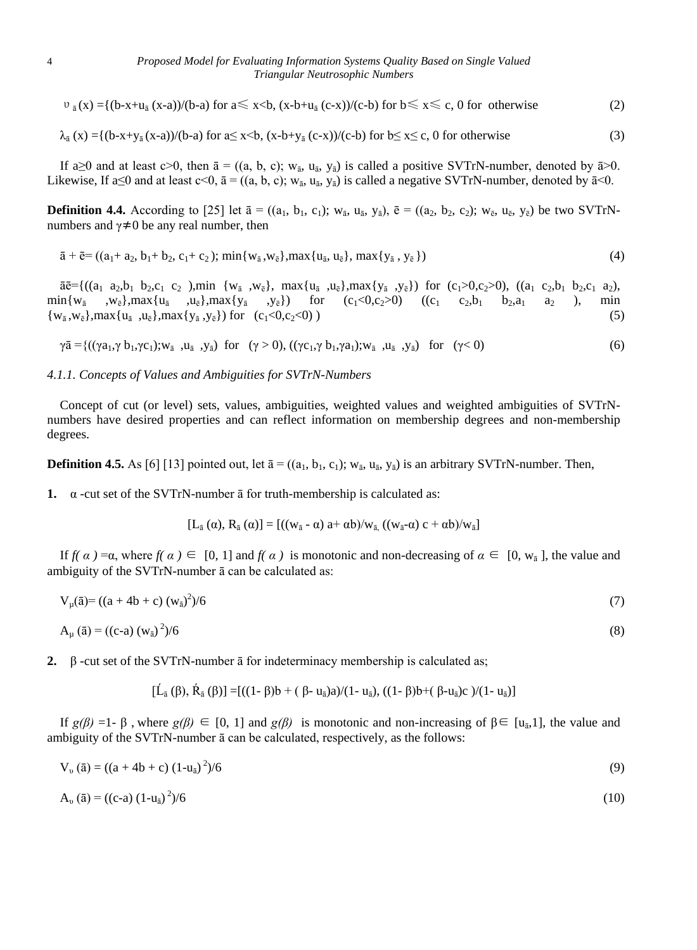$$
\upsilon_{\bar{a}}(x) = \{ (b-x+u_{\bar{a}}(x-a))/(b-a) \text{ for } a \leq x < b, (x-b+u_{\bar{a}}(c-x))/(c-b) \text{ for } b \leq x \leq c, 0 \text{ for otherwise } (2) \}
$$

$$
\lambda_{\bar{a}}(x) = \{ (b-x+y_{\bar{a}}(x-a))/(b-a) \text{ for } a \le x \le b, (x-b+y_{\bar{a}}(c-x))/(c-b) \text{ for } b \le x \le c, 0 \text{ for otherwise } (3)
$$

If a is a and at least c>0, then  $\bar{a} = ((a, b, c); w_{\bar{a}}, u_{\bar{a}}, y_{\bar{a}})$  is called a positive SVTrN-number, denoted by  $\bar{a}$ >0. Likewise, If a≤0 and at least c<0,  $\bar{a} = ((a, b, c); w_{\bar{a}}, u_{\bar{a}}, y_{\bar{a}})$  is called a negative SVTrN-number, denoted by  $\bar{a}$ <0.

**Definition 4.4.** According to [25] let  $\bar{a} = ((a_1, b_1, c_1); w_{\bar{a}}, u_{\bar{a}}, y_{\bar{a}}), \bar{e} = ((a_2, b_2, c_2); w_{\bar{e}}, u_{\bar{e}}, y_{\bar{e}})$  be two SVTrNnumbers and  $\gamma \neq 0$  be any real number, then

$$
\bar{a} + \bar{e} = ((a_1 + a_2, b_1 + b_2, c_1 + c_2); \min\{w_{\bar{a}}, w_{\bar{e}}\}, \max\{u_{\bar{a}}, u_{\bar{e}}\}, \max\{y_{\bar{a}}, y_{\bar{e}}\})
$$
(4)

 $\bar{a}\bar{e}$ ={((a<sub>1</sub> a<sub>2</sub>,b<sub>1</sub> b<sub>2</sub>,c<sub>1</sub> c<sub>2</sub>),min {w<sub>a</sub> ,w<sub> $\bar{e}$ </sub>}, max{u<sub>a</sub> ,u<sub> $\bar{e}$ </sub>},max{y<sub>a</sub> ,y<sub> $\bar{e}$ </sub>}) for (c<sub>1</sub>>0,c<sub>2</sub>>0), ((a<sub>1</sub> c<sub>2</sub>,b<sub>1</sub> b<sub>2</sub>,c<sub>1</sub> a<sub>2</sub>),  $\min\{w_{\bar{a}} , w_{\bar{e}}\}$ ,max $\{u_{\bar{a}} , u_{\bar{e}}\}$ ,max $\{y_{\bar{a}}$  $(y_{\bar{e}})$  for  $(c_1<0,c_2>0)$   $((c_1 c_2,b_1 b_2,a_1 a_2),$  min  $\{w_{\bar{a}}, w_{\bar{e}}\}$ ,max $\{u_{\bar{a}}, u_{\bar{e}}\}$ ,max $\{y_{\bar{a}}, y_{\bar{e}}\}$  for  $(c_1 < 0, c_2 < 0)$ ) (5)

$$
\gamma \bar{a} = \{ ((\gamma a_1, \gamma b_1, \gamma c_1); w_{\bar{a}}, u_{\bar{a}}, y_{\bar{a}}) \text{ for } (\gamma > 0), ((\gamma c_1, \gamma b_1, \gamma a_1); w_{\bar{a}}, u_{\bar{a}}, y_{\bar{a}}) \text{ for } (\gamma < 0) \tag{6}
$$

## *4.1.1. Concepts of Values and Ambiguities for SVTrN-Numbers*

Concept of cut (or level) sets, values, ambiguities, weighted values and weighted ambiguities of SVTrNnumbers have desired properties and can reflect information on membership degrees and non-membership degrees.

**Definition 4.5.** As [6] [13] pointed out, let  $\bar{a} = ((a_1, b_1, c_1); w_{\bar{a}}, u_{\bar{a}}, y_{\bar{a}})$  is an arbitrary SVTrN-number. Then,

**1.**  $\alpha$  -cut set of the SVTrN-number  $\bar{a}$  for truth-membership is calculated as:

$$
[L_{\bar{a}}\left(\alpha\right),R_{\bar{a}}\left(\alpha\right)]= [((w_{\bar{a}}\cdot\alpha)\ a^+\ \alpha b)/w_{\bar{a},}\ ((w_{\bar{a}}\cdot\alpha)\ c^+\ \alpha b)/w_{\bar{a}}]
$$

If  $f(\alpha) = \alpha$ , where  $f(\alpha) \in [0, 1]$  and  $f(\alpha)$  is monotonic and non-decreasing of  $\alpha \in [0, w_{\overline{a}}]$ , the value and ambiguity of the SVTrN-number ā can be calculated as:

$$
V_{\mu}(\bar{a}) = ((a + 4b + c) (w_{\bar{a}})^{2})/6
$$
 (7)

$$
A_{\mu}(\bar{a}) = ((c-a) (w_{\bar{a}})^2)/6
$$
 (8)

**2.** β -cut set of the SVTrN-number ā for indeterminacy membership is calculated as;

$$
[\dot{L}_{\bar{a}}(\beta), \dot{R}_{\bar{a}}(\beta)] = [((1-\beta)b + (\beta - u_{\bar{a}})a)/(1 - u_{\bar{a}}), ((1-\beta)b + (\beta - u_{\bar{a}})c)/(1 - u_{\bar{a}})]
$$

If *g*(*β*) =1- β, where *g*(*β*) ∈ [0, 1] and *g*(*β*) is monotonic and non-increasing of β ∈ [u<sub>ā</sub>,1], the value and ambiguity of the SVTrN-number ā can be calculated, respectively, as the follows:

$$
V_{\nu}(\bar{a}) = ((a + 4b + c) (1 - u_{\bar{a}})^2)/6
$$
\n(9)

$$
A_{\nu}(\bar{a}) = ((c-a) (1 - u_{\bar{a}})^2)/6 \tag{10}
$$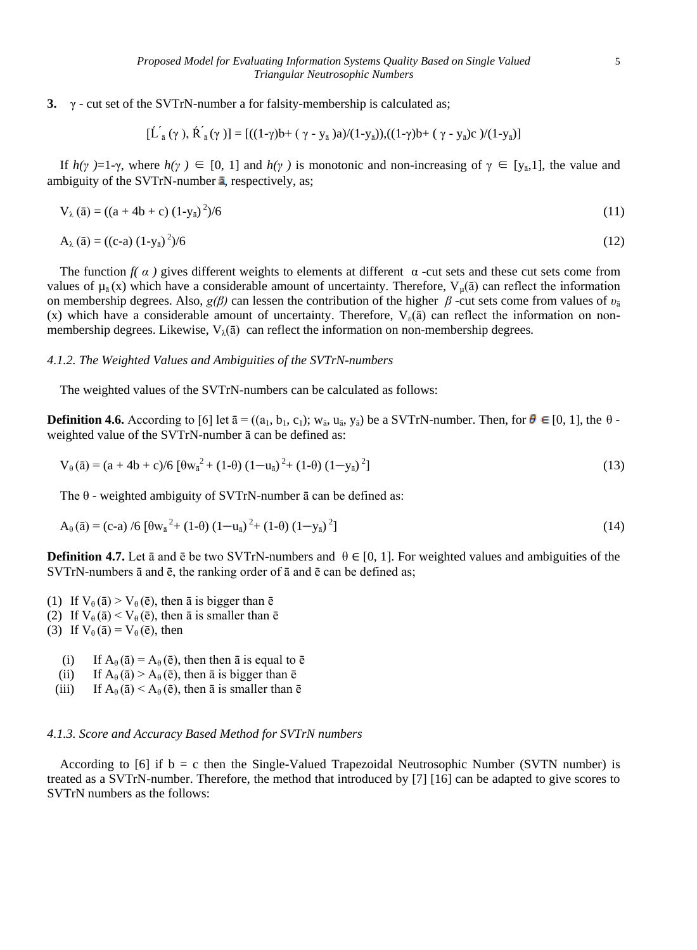**3.** γ - cut set of the SVTrN-number a for falsity-membership is calculated as;

$$
[\dot{L}_{\bar{a}}(\gamma), \dot{R}_{\bar{a}}(\gamma)] = [((1-\gamma)b + (\gamma - y_{\bar{a}})a)/(1-y_{\bar{a}}), ((1-\gamma)b + (\gamma - y_{\bar{a}})c)/(1-y_{\bar{a}})]
$$

If  $h(\gamma) = 1-\gamma$ , where  $h(\gamma) \in [0, 1]$  and  $h(\gamma)$  is monotonic and non-increasing of  $\gamma \in [y_{\overline{a}}, 1]$ , the value and ambiguity of the SVTrN-number  $\overline{a}$ , respectively, as;

$$
V_{\lambda}(\bar{a}) = ((a + 4b + c) (1 - y_{\bar{a}})^2)/6
$$
\n(11)

$$
A_{\lambda}(\bar{a}) = ((c-a) (1-y_{\bar{a}})^2)/6 \tag{12}
$$

The function  $f(\alpha)$  gives different weights to elements at different  $\alpha$  -cut sets and these cut sets come from values of  $\mu_{\bar{a}}(x)$  which have a considerable amount of uncertainty. Therefore,  $V_{\mu}(\bar{a})$  can reflect the information on membership degrees. Also, *g(β)* can lessen the contribution of the higher *β* -cut sets come from values of  $v_{\bar{a}}$ (x) which have a considerable amount of uncertainty. Therefore, V*υ*(ā) can reflect the information on nonmembership degrees. Likewise,  $V_{\lambda}(\bar{a})$  can reflect the information on non-membership degrees.

## *4.1.2. The Weighted Values and Ambiguities of the SVTrN-numbers*

The weighted values of the SVTrN-numbers can be calculated as follows:

**Definition 4.6.** According to [6] let  $\bar{a} = ((a_1, b_1, c_1); w_{\bar{a}}, u_{\bar{a}}, y_{\bar{a}})$  be a SVTrN-number. Then, for  $\theta \in [0, 1]$ , the  $\theta$ weighted value of the SVTrN-number ā can be defined as:

$$
V_{\theta}(\bar{a}) = (a + 4b + c)/6 [\theta w_{\bar{a}}^2 + (1 - \theta) (1 - u_{\bar{a}})^2 + (1 - \theta) (1 - y_{\bar{a}})^2]
$$
(13)

The  $\theta$  - weighted ambiguity of SVTrN-number  $\bar{a}$  can be defined as:

$$
A_{\theta}(\bar{a}) = (c-a) / 6 [\theta w_{\bar{a}}^{2} + (1-\theta) (1-u_{\bar{a}})^{2} + (1-\theta) (1-y_{\bar{a}})^{2}]
$$
\n(14)

**Definition 4.7.** Let  $\bar{a}$  and  $\bar{e}$  be two SVTrN-numbers and  $\theta \in [0, 1]$ . For weighted values and ambiguities of the SVTrN-numbers ā and ē, the ranking order of ā and ē can be defined as;

- (1) If  $V_{\theta}(\bar{a}) > V_{\theta}(\bar{e})$ , then  $\bar{a}$  is bigger than  $\bar{e}$
- (2) If  $V_{\theta}(\bar{a}) < V_{\theta}(\bar{e})$ , then  $\bar{a}$  is smaller than  $\bar{e}$
- (3) If  $V_{\theta}(\bar{a}) = V_{\theta}(\bar{e})$ , then
	- (i) If  $A_{\theta}(\bar{a}) = A_{\theta}(\bar{e})$ , then then  $\bar{a}$  is equal to  $\bar{e}$
	- (ii) If  $A_{\theta}(\bar{a}) > A_{\theta}(\bar{e})$ , then  $\bar{a}$  is bigger than  $\bar{e}$
	- (iii) If  $A_{\theta}(\bar{a}) < A_{\theta}(\bar{e})$ , then  $\bar{a}$  is smaller than  $\bar{e}$

#### *4.1.3. Score and Accuracy Based Method for SVTrN numbers*

According to  $[6]$  if  $b = c$  then the Single-Valued Trapezoidal Neutrosophic Number (SVTN number) is treated as a SVTrN-number. Therefore, the method that introduced by [7] [16] can be adapted to give scores to SVTrN numbers as the follows: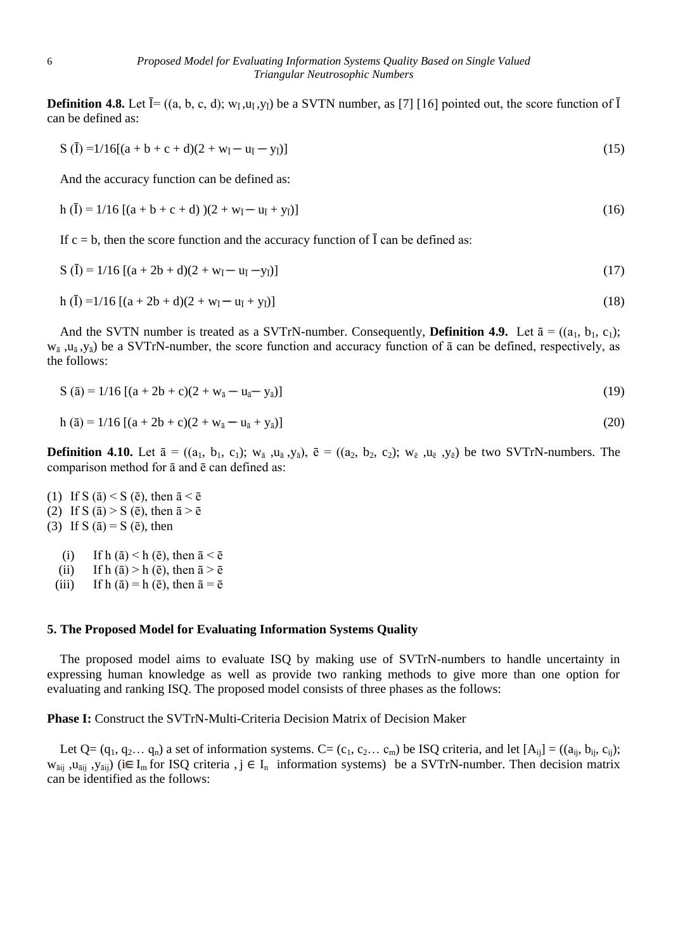**Definition 4.8.** Let  $\bar{I} = ((a, b, c, d); w_{\bar{I}}, w_{\bar{I}}, v_{\bar{I}})$  be a SVTN number, as [7] [16] pointed out, the score function of  $\bar{I}$ can be defined as:

$$
S(\bar{I}) = 1/16[(a+b+c+d)(2+w_{\bar{I}}-u_{\bar{I}}-y_{\bar{I}})]
$$
\n(15)

And the accuracy function can be defined as:

$$
h(\bar{I}) = 1/16 [(a + b + c + d))(2 + w_{\bar{I}} - u_{\bar{I}} + y_{\bar{I}})]
$$
\n(16)

If  $c = b$ , then the score function and the accuracy function of  $\overline{I}$  can be defined as:

$$
S(\bar{I}) = 1/16 [(a + 2b + d)(2 + w_{\bar{I}} - u_{\bar{I}} - y_{\bar{I}})]
$$
\n(17)

$$
h(\bar{I}) = 1/16 [(a + 2b + d)(2 + w_{\bar{I}} - u_{\bar{I}} + y_{\bar{I}})]
$$
\n(18)

And the SVTN number is treated as a SVTrN-number. Consequently, **Definition 4.9.** Let  $\bar{a} = ((a_1, b_1, c_1);$  $w_{\bar{a}}$ ,  $u_{\bar{a}}$ ,  $y_{\bar{a}}$ ) be a SVTrN-number, the score function and accuracy function of  $\bar{a}$  can be defined, respectively, as the follows:

$$
S(\bar{a}) = 1/16 [(a + 2b + c)(2 + w_{\bar{a}} - u_{\bar{a}} - y_{\bar{a}})]
$$
\n(19)

$$
h(\bar{a}) = 1/16 [(a + 2b + c)(2 + w_{\bar{a}} - u_{\bar{a}} + y_{\bar{a}})]
$$
\n(20)

**Definition 4.10.** Let  $\bar{a} = ((a_1, b_1, c_1); w_{\bar{a}}, u_{\bar{a}}, y_{\bar{a}}), \bar{e} = ((a_2, b_2, c_2); w_{\bar{e}}, u_{\bar{e}}, y_{\bar{e}})$  be two SVTrN-numbers. The comparison method for ā and ē can defined as:

- (1) If S ( $\bar{a}$ ) < S ( $\bar{e}$ ), then  $\bar{a} < \bar{e}$
- (2) If S ( $\bar{a}$ ) > S ( $\bar{e}$ ), then  $\bar{a}$  >  $\bar{e}$
- (3) If S ( $\bar{a}$ ) = S ( $\bar{e}$ ), then
	- (i) If h ( $\bar{a}$ ) < h ( $\bar{e}$ ), then  $\bar{a} < \bar{e}$
	- (ii) If h  $(\bar{a}) > h$  ( $\bar{e}$ ), then  $\bar{a} > \bar{e}$
	- (iii) If h ( $\bar{a}$ ) = h ( $\bar{e}$ ), then  $\bar{a} = \bar{e}$

#### **5. The Proposed Model for Evaluating Information Systems Quality**

The proposed model aims to evaluate ISQ by making use of SVTrN-numbers to handle uncertainty in expressing human knowledge as well as provide two ranking methods to give more than one option for evaluating and ranking ISQ. The proposed model consists of three phases as the follows:

**Phase I:** Construct the SVTrN-Multi-Criteria Decision Matrix of Decision Maker

Let Q=  $(q_1, q_2... q_n)$  a set of information systems. C=  $(c_1, c_2... c_m)$  be ISQ criteria, and let  $[A_{ij}] = ((a_{ij}, b_{ij}, c_{ij})$ ;  $w_{\text{āij}}$ ,  $u_{\text{āij}}$ ,  $y_{\text{āij}}$ ) (i $\in I_{\text{m}}$  for ISQ criteria, j  $\in I_{\text{n}}$  information systems) be a SVTrN-number. Then decision matrix can be identified as the follows: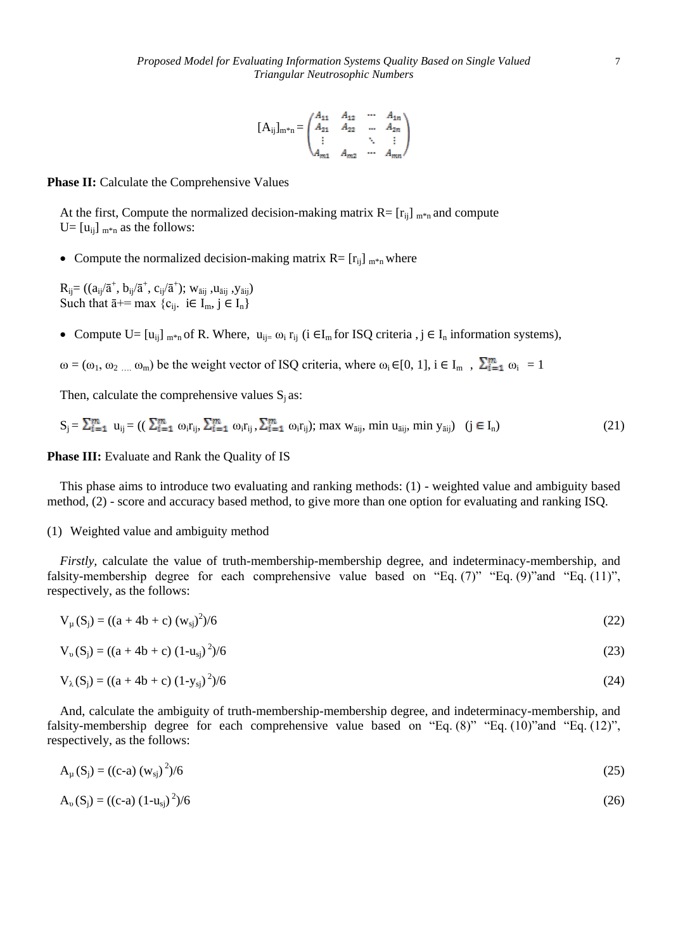$$
[A_{ij}]_{m^*n} = \begin{pmatrix} A_{11} & A_{12} & \cdots & A_{1n} \\ A_{21} & A_{22} & \cdots & A_{2n} \\ \vdots & & \ddots & \vdots \\ A_{m1} & A_{m2} & \cdots & A_{mn} \end{pmatrix}
$$

**Phase II:** Calculate the Comprehensive Values

At the first, Compute the normalized decision-making matrix  $R = [r_{ij}]_{m*n}$  and compute U=  $[u_{ii}]_{m*n}$  as the follows:

• Compute the normalized decision-making matrix  $R = [r_{ij}]_{m*n}$  where

 $R_{ij}$ = (( $a_{ij}/\bar{a}^+$ ,  $b_{ij}/\bar{a}^+$ ,  $c_{ij}/\bar{a}^+$ ); w<sub>āij</sub> ,u<sub>āij</sub> ,y<sub>āij</sub>) Such that  $\bar{a}$ += max  $\{c_{ij}: i \in I_m, j \in I_n\}$ 

- Compute U=  $[u_{ii}]_{m*n}$  of R. Where,  $u_{ii}= \omega_i r_{ii}$  (i  $\in I_m$  for ISQ criteria , j  $\in I_n$  information systems),
- $\omega = (\omega_1, \omega_2, \dots, \omega_m)$  be the weight vector of ISQ criteria, where  $\omega_i \in [0, 1]$ ,  $i \in I_m$ ,  $\sum_{i=1}^m \omega_i = 1$

Then, calculate the comprehensive values  $S_i$  as:

$$
S_j = \sum_{i=1}^m u_{ij} = \left( \left( \sum_{i=1}^m \omega_i r_{ij}, \sum_{i=1}^m \omega_i r_{ij}, \sum_{i=1}^m \omega_i r_{ij} \right); \text{ max } w_{\text{aij}}, \text{ min } u_{\text{aij}}, \text{ min } y_{\text{aij}} \right) \quad (j \in I_n) \tag{21}
$$

## **Phase III:** Evaluate and Rank the Quality of IS

This phase aims to introduce two evaluating and ranking methods: (1) - weighted value and ambiguity based method, (2) - score and accuracy based method, to give more than one option for evaluating and ranking ISQ.

#### (1) Weighted value and ambiguity method

*Firstly,* calculate the value of truth-membership-membership degree, and indeterminacy-membership, and falsity-membership degree for each comprehensive value based on "Eq.  $(7)$ " "Eq.  $(9)$ "and "Eq.  $(11)$ ", respectively, as the follows:

$$
V_{\mu}(S_j) = ((a + 4b + c) (w_{sj})^2)/6
$$
 (22)

$$
V_{\nu}(S_j) = ((a + 4b + c) (1 - u_{sj})^2)/6
$$
\n(23)

$$
V_{\lambda}(S_j) = ((a + 4b + c) (1 - y_{sj})^2)/6
$$
\n(24)

And, calculate the ambiguity of truth-membership-membership degree, and indeterminacy-membership, and falsity-membership degree for each comprehensive value based on "Eq. (8)" "Eq. (10)"and "Eq. (12)", respectively, as the follows:

$$
A_{\mu}(S_j) = ((c-a) (w_{sj})^2)/6
$$
 (25)

$$
A_{\nu}(S_j) = ((c-a) (1 - u_{sj})^2)/6
$$
 (26)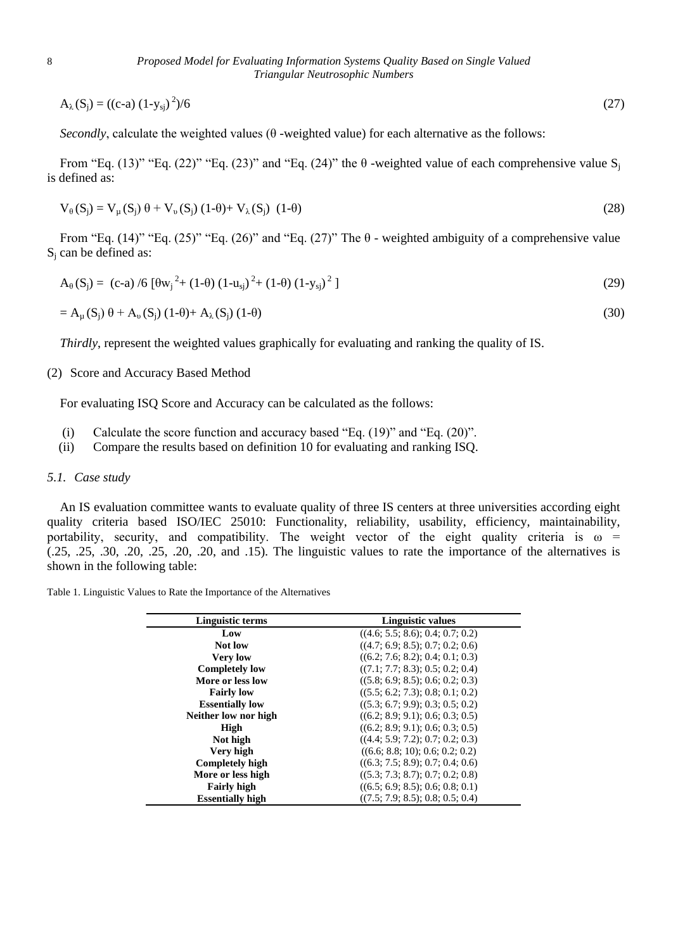$A_{\lambda}(S_j) = ((c-a) (1-y_{sj})^2)$  $)/6$  (27)

*Secondly*, calculate the weighted values ( $\theta$  -weighted value) for each alternative as the follows:

From "Eq. (13)" "Eq. (22)" "Eq. (23)" and "Eq. (24)" the  $\theta$  -weighted value of each comprehensive value S<sub>i</sub> is defined as:

$$
V_{\theta}(S_j) = V_{\mu}(S_j) \theta + V_{\nu}(S_j) (1-\theta) + V_{\lambda}(S_j) (1-\theta)
$$
\n(28)

From "Eq.  $(14)$ " "Eq.  $(25)$ " "Eq.  $(26)$ " and "Eq.  $(27)$ " The  $\theta$  - weighted ambiguity of a comprehensive value  $S_i$  can be defined as:

$$
A_{\theta}(S_j) = (c-a) / 6 [\theta w_j^2 + (1-\theta) (1-u_{sj})^2 + (1-\theta) (1-y_{sj})^2]
$$
\n(29)

$$
= A_{\mu}(S_j) \theta + A_{\nu}(S_j) (1-\theta) + A_{\lambda}(S_j) (1-\theta)
$$
\n(30)

*Thirdly*, represent the weighted values graphically for evaluating and ranking the quality of IS.

## (2) Score and Accuracy Based Method

For evaluating ISQ Score and Accuracy can be calculated as the follows:

- (i) Calculate the score function and accuracy based "Eq. (19)" and "Eq. (20)".
- (ii) Compare the results based on definition 10 for evaluating and ranking ISQ.

#### *5.1. Case study*

An IS evaluation committee wants to evaluate quality of three IS centers at three universities according eight quality criteria based ISO/IEC 25010: Functionality, reliability, usability, efficiency, maintainability, portability, security, and compatibility. The weight vector of the eight quality criteria is  $\omega$  =  $(.25, .25, .30, .20, .25, .20, .20, .20, .30)$  and  $.15$ ). The linguistic values to rate the importance of the alternatives is shown in the following table:

| Table 1. Linguistic Values to Rate the Importance of the Alternatives |  |  |  |
|-----------------------------------------------------------------------|--|--|--|
|                                                                       |  |  |  |

| Linguistic terms        | Linguistic values                |  |  |
|-------------------------|----------------------------------|--|--|
| Low                     | ((4.6; 5.5; 8.6); 0.4; 0.7; 0.2) |  |  |
| <b>Not low</b>          | ((4.7; 6.9; 8.5); 0.7; 0.2; 0.6) |  |  |
| <b>Very low</b>         | ((6.2; 7.6; 8.2); 0.4; 0.1; 0.3) |  |  |
| <b>Completely low</b>   | ((7.1; 7.7; 8.3); 0.5; 0.2; 0.4) |  |  |
| More or less low        | ((5.8; 6.9; 8.5); 0.6; 0.2; 0.3) |  |  |
| <b>Fairly low</b>       | ((5.5; 6.2; 7.3); 0.8; 0.1; 0.2) |  |  |
| <b>Essentially low</b>  | ((5.3; 6.7; 9.9); 0.3; 0.5; 0.2) |  |  |
| Neither low nor high    | ((6.2; 8.9; 9.1); 0.6; 0.3; 0.5) |  |  |
| High                    | ((6.2; 8.9; 9.1); 0.6; 0.3; 0.5) |  |  |
| Not high                | ((4.4; 5.9; 7.2); 0.7; 0.2; 0.3) |  |  |
| Very high               | ((6.6; 8.8; 10); 0.6; 0.2; 0.2)  |  |  |
| <b>Completely high</b>  | ((6.3; 7.5; 8.9); 0.7; 0.4; 0.6) |  |  |
| More or less high       | ((5.3; 7.3; 8.7); 0.7; 0.2; 0.8) |  |  |
| <b>Fairly high</b>      | ((6.5; 6.9; 8.5); 0.6; 0.8; 0.1) |  |  |
| <b>Essentially high</b> | ((7.5; 7.9; 8.5); 0.8; 0.5; 0.4) |  |  |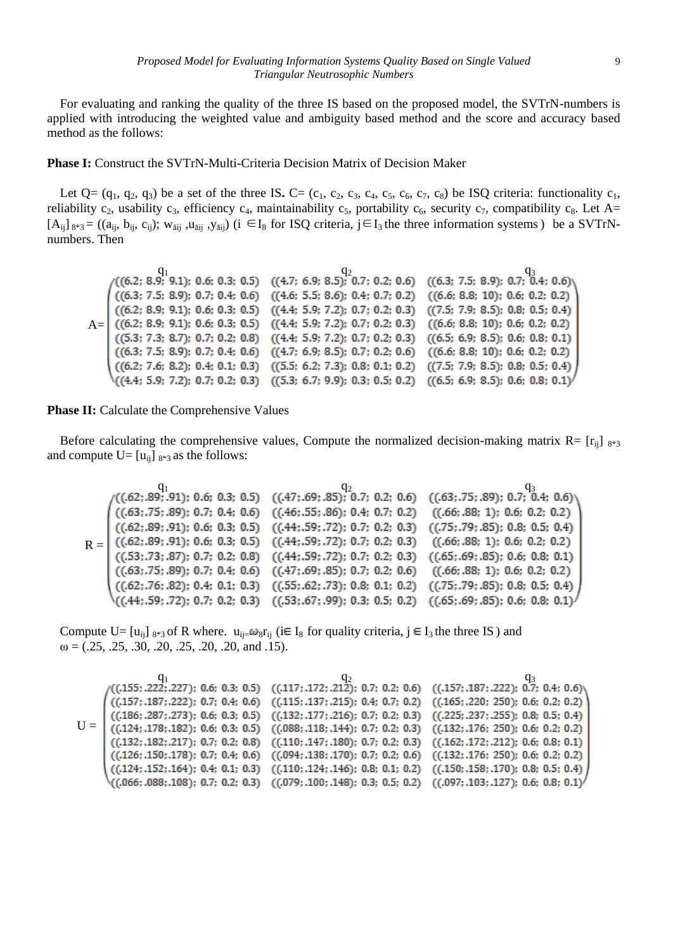For evaluating and ranking the quality of the three IS based on the proposed model, the SVTrN-numbers is applied with introducing the weighted value and ambiguity based method and the score and accuracy based method as the follows:

**Phase I:** Construct the SVTrN-Multi-Criteria Decision Matrix of Decision Maker

Let  $Q = (q_1, q_2, q_3)$  be a set of the three IS. C= (c<sub>1</sub>, c<sub>2</sub>, c<sub>3</sub>, c<sub>4</sub>, c<sub>5</sub>, c<sub>6</sub>, c<sub>7</sub>, c<sub>8</sub>) be ISQ criteria: functionality c<sub>1</sub>, reliability c<sub>2</sub>, usability c<sub>3</sub>, efficiency c<sub>4</sub>, maintainability c<sub>5</sub>, portability c<sub>6</sub>, security c<sub>7</sub>, compatibility c<sub>8</sub>. Let A=  $[A_{ii}]_{8*3} = ((a_{ii}, b_{ii}, c_{ii}); w_{\bar{a}ii}, u_{\bar{a}ii}, y_{\bar{a}ii})$  (i ∈I<sub>8</sub> for ISQ criteria, j∈I<sub>3</sub> the three information systems) be a SVTrNnumbers. Then

|                                                                                                           | $(6.2; 8.9; 9.1); 0.6; 0.3; 0.5)$ $(4.7; 6.9; 8.5); 0.7; 0.2; 0.6)$ $(6.3; 7.5; 8.9); 0.7; 0.4; 0.6)$     |  |
|-----------------------------------------------------------------------------------------------------------|-----------------------------------------------------------------------------------------------------------|--|
| $((6.3; 7.5; 8.9); 0.7; 0.4; 0.6)$ $((4.6; 5.5; 8.6); 0.4; 0.7; 0.2)$ $((6.6; 8.8; 10); 0.6; 0.2; 0.2)$   |                                                                                                           |  |
|                                                                                                           | $((6.2; 8.9; 9.1); 0.6; 0.3; 0.5)$ $((4.4; 5.9; 7.2); 0.7; 0.2; 0.3)$ $((7.5; 7.9; 8.5); 0.8; 0.5; 0.4)$  |  |
| $A = ($ ((6.2; 8.9; 9.1); 0.6; 0.3; 0.5) ((4.4; 5.9; 7.2); 0.7; 0.2; 0.3) ((6.6; 8.8; 10); 0.6; 0.2; 0.2) |                                                                                                           |  |
|                                                                                                           | $((5.3; 7.3; 8.7); 0.7; 0.2; 0.8)$ $((4.4; 5.9; 7.2); 0.7; 0.2; 0.3)$ $((6.5; 6.9; 8.5); 0.6; 0.8; 0.1)$  |  |
|                                                                                                           | $((6.3; 7.5; 8.9); 0.7; 0.4; 0.6)$ $((4.7; 6.9; 8.5); 0.7; 0.2; 0.6)$ $((6.6; 8.8; 10); 0.6; 0.2; 0.2)$   |  |
|                                                                                                           | $((6.2; 7.6; 8.2); 0.4; 0.1; 0.3)$ $((5.5; 6.2; 7.3); 0.8; 0.1; 0.2)$ $((7.5; 7.9; 8.5); 0.8; 0.5; 0.4)$  |  |
|                                                                                                           | $((4.4; 5.9; 7.2); 0.7; 0.2; 0.3)$ $((5.3; 6.7; 9.9); 0.3; 0.5; 0.2)$ $((6.5; 6.9; 8.5); 0.6; 0.8; 0.1)'$ |  |

**Phase II:** Calculate the Comprehensive Values

Before calculating the comprehensive values, Compute the normalized decision-making matrix  $R = [r_{ii}]_{8*3}$ and compute  $U=[u_{ii}]_{8*3}$  as the follows:

$$
R = \begin{pmatrix} q_1 & q_2 & q_3 \\ ((.62; .89; .91); 0.6; 0.3; 0.5) & ((.47; .69; .85); 0.7; 0.2; 0.6) & ((.63; .75; .89); 0.7; 0.4; 0.6) \\ ((.63; .75; .89); 0.7; 0.4; 0.6) & ((.46; .55; .86); 0.4; 0.7; 0.2) & ((.66; .88; 1); 0.6; 0.2; 0.2) \\ ((.62; .89; .91); 0.6; 0.3; 0.5) & ((.44; .59; .72); 0.7; 0.2; 0.3) & ((.75; .79; .85); 0.8; 0.5; 0.4) \\ ((.62; .89; .91); 0.6; 0.3; 0.5) & ((.44; .59; .72); 0.7; 0.2; 0.3) & ((.66; .88; 1); 0.6; 0.2; 0.2) \\ ((.53; .73; .87); 0.7; 0.2; 0.8) & ((.44; .59; .72); 0.7; 0.2; 0.3) & ((.66; .88; 1); 0.6; 0.2; 0.2) \\ ((.63; .75; .89); 0.7; 0.4; 0.6) & ((.47; .69; .85); 0.7; 0.2; 0.6) & ((.66; .88; 1); 0.6; 0.2; 0.2) \\ ((.62; .76; .82); 0.4; 0.1; 0.3) & ((.55; .62; .73); 0.8; 0.1; 0.2) & ((.75; .79; .85); 0.8; 0.5; 0.4) \\ ((.44; .59; .72); 0.7; 0.2; 0.3) & ((.53; .67; .99); 0.3; 0.5; 0.2) & ((.65; .69; .85); 0.6; 0.8; 0.1) \end{pmatrix}
$$

Compute U=  $[u_{ij}]_{8*3}$  of R where.  $u_{ij} = \omega_8 r_{ij}$  (i $\in I_8$  for quality criteria,  $j \in I_3$  the three IS) and  $\omega = (0.25, 0.25, 0.30, 0.20, 0.25, 0.20, 0.20, 0.15).$ 

$$
U = \begin{pmatrix} (1.155; .2222; .227); & 0.6; & 0.3; & 0.5) & ((.117; .172; .212); & 0.7; & 0.2; & 0.6) & ((.157; .187; .222); & 0.7; & 0.4; & 0.6) \\ ((.157; .187; .222); & 0.7; & 0.4; & 0.6) & ((.115; .137; .215); & 0.4; & 0.7; & 0.2) & ((.165; .220; & 250); & 0.6; & 0.2; & 0.2) \\ ((.186; .287; .273); & 0.6; & 0.3; & 0.5) & ((.132; .177; .216); & 0.7; & 0.2; & 0.3) & ((.225; .237; .255); & 0.8; & 0.5; & 0.4) \\ ((.124; .178; .182); & 0.6; & 0.3; & 0.5) & ((.088; .118; .144); & 0.7; & 0.2; & 0.3) & ((.132; .176; & 250); & 0.6; & 0.2; & 0.2) \\ ((.132; .182; .217); & 0.7; & 0.2; & 0.8) & ((.110; .147; .180); & 0.7; & 0.2; & 0.3) & ((.162; .172; .212); & 0.6; & 0.8; & 0.1) \\ ((.126; .150; .178); & 0.7; & 0.4; & 0.6) & ((.094; .138; .170); & 0.7; & 0.2; & 0.6) & ((.132; .176; & 250); & 0.6; & 0.2; & 0.2) \\ ((.124; .152; .164); & 0.4; & 0.1; & 0.3) & ((.110; .124; .146); & 0.8; & 0.1; & 0.2) & ((.150; .158; .170); & 0.8; & 0.5; & 0.4) \\ ((.666; .088;
$$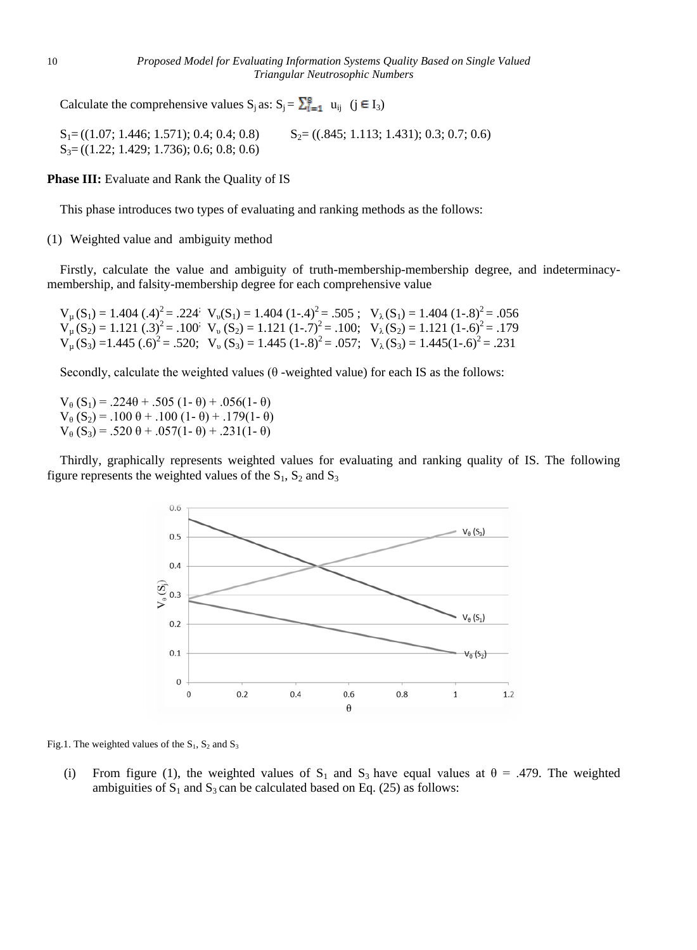Calculate the comprehensive values  $S_j$  as:  $S_j = \sum_{i=1}^{8} u_{ij}$  ( $j \in I_3$ )

 $S_1 = ((1.07; 1.446; 1.571); 0.4; 0.4; 0.8)$   $S_2 = ((.845; 1.113; 1.431); 0.3; 0.7; 0.6)$ S<sub>3</sub>= ((1.22; 1.429; 1.736); 0.6; 0.8; 0.6)

**Phase III:** Evaluate and Rank the Quality of IS

This phase introduces two types of evaluating and ranking methods as the follows:

(1) Weighted value and ambiguity method

Firstly, calculate the value and ambiguity of truth-membership-membership degree, and indeterminacymembership, and falsity-membership degree for each comprehensive value

 $V_{\mu}(S_1) = 1.404 \, (A)^2 = .224$ ;  $V_{\nu}(S_1) = 1.404 \, (1 - .4)^2 = .505$ ;  $V_{\lambda}(S_1) = 1.404 \, (1 - .8)^2 = .056$  $V_{\mu}(S_2) = 1.121 \, (0.3)^2 = 0.100$ ;  $V_{\mu}(S_2) = 1.121 \, (1 - .7)^2 = 0.100$ ;  $V_{\lambda}(S_2) = 1.121 \, (1 - .6)^2 = 0.179$  $V_{\mu}$ (S<sub>3</sub>) = 1.445 (.6)<sup>2</sup> = .520;  $V_{\nu}$  (S<sub>3</sub>) = 1.445 (1-.8)<sup>2</sup> = .057;  $V_{\lambda}$ (S<sub>3</sub>) = 1.445(1-.6)<sup>2</sup> = .231

Secondly, calculate the weighted values ( $\theta$  -weighted value) for each IS as the follows:

 $V_{\theta}$  (S<sub>1</sub>) = .224 $\theta$  + .505 (1- $\theta$ ) + .056(1- $\theta$ )  $V_{\theta}$  (S<sub>2</sub>) = .100  $\theta$  + .100 (1-  $\theta$ ) + .179(1-  $\theta$ )  $V_{\theta}$  (S<sub>3</sub>) = .520  $\theta$  + .057(1-  $\theta$ ) + .231(1-  $\theta$ )

Thirdly, graphically represents weighted values for evaluating and ranking quality of IS. The following figure represents the weighted values of the  $S_1$ ,  $S_2$  and  $S_3$ 



Fig.1. The weighted values of the  $S_1$ ,  $S_2$  and  $S_3$ 

(i) From figure (1), the weighted values of S<sub>1</sub> and S<sub>3</sub> have equal values at  $\theta = .479$ . The weighted ambiguities of  $S_1$  and  $S_3$  can be calculated based on Eq. (25) as follows: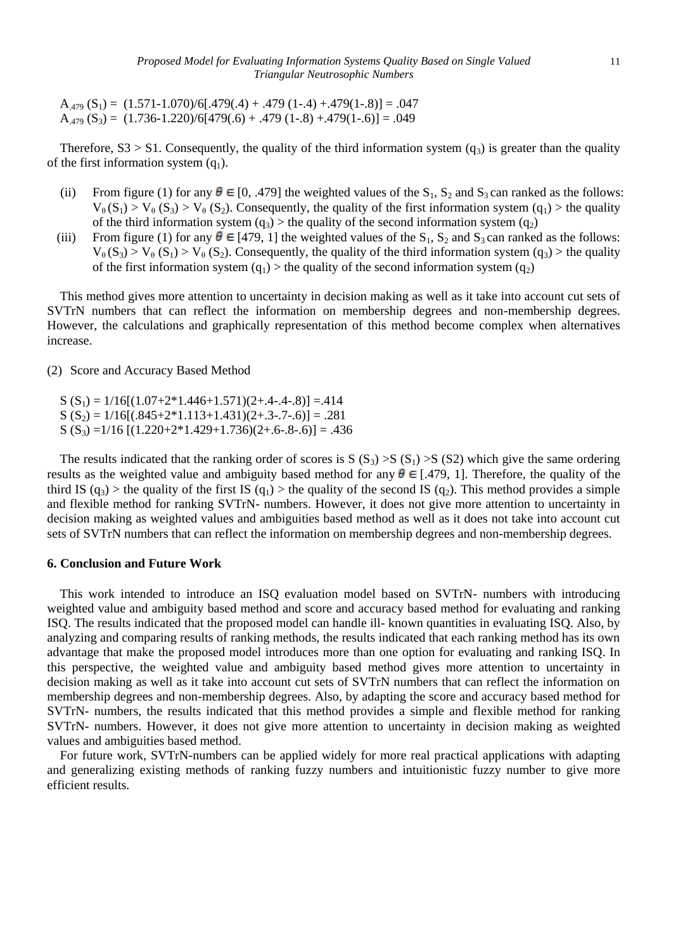$A_{.479}$   $(S_1) = (1.571 - 1.070)/6[.479(.4) + .479(1-.4) + .479(1-.8)] = .047$  $A_{.479}$   $(S_3) = (1.736 - 1.220)/6[479(.6) + .479(1-.8) + .479(1-.6)] = .049$ 

Therefore,  $S3 > S1$ . Consequently, the quality of the third information system  $(q_3)$  is greater than the quality of the first information system  $(q_1)$ .

- (ii) From figure (1) for any  $\theta \in [0, .479]$  the weighted values of the S<sub>1</sub>, S<sub>2</sub> and S<sub>3</sub> can ranked as the follows:  $V_{\theta}(S_1) > V_{\theta}(S_2) > V_{\theta}(S_2)$ . Consequently, the quality of the first information system (q<sub>1</sub>) > the quality of the third information system  $(q_3)$  > the quality of the second information system  $(q_2)$
- (iii) From figure (1) for any  $\theta \in [479, 1]$  the weighted values of the S<sub>1</sub>, S<sub>2</sub> and S<sub>3</sub> can ranked as the follows:  $V_{\theta}$  (S<sub>3</sub>) > V<sub>θ</sub> (S<sub>1</sub>) > V<sub>θ</sub> (S<sub>2</sub>). Consequently, the quality of the third information system (q<sub>3</sub>) > the quality of the first information system  $(q_1)$  > the quality of the second information system  $(q_2)$

This method gives more attention to uncertainty in decision making as well as it take into account cut sets of SVTrN numbers that can reflect the information on membership degrees and non-membership degrees. However, the calculations and graphically representation of this method become complex when alternatives increase.

(2) Score and Accuracy Based Method

 $S(S_1) = 1/16[(1.07+2*1.446+1.571)(2+.4-.4-.8)] = .414$  $S(S_2) = 1/16[(.845+2*1.113+1.431)(2+.3-.7-.6)] = .281$  $S(S_3) = 1/16 [(1.220+2*1.429+1.736)(2+.6-.8-.6)] = .436$ 

The results indicated that the ranking order of scores is  $S(S_3) > S(S_1) > S(S_2)$  which give the same ordering results as the weighted value and ambiguity based method for any  $\theta \in [.479, 1]$ . Therefore, the quality of the third IS (q<sub>3</sub>) > the quality of the first IS (q<sub>1</sub>) > the quality of the second IS (q<sub>2</sub>). This method provides a simple and flexible method for ranking SVTrN- numbers. However, it does not give more attention to uncertainty in decision making as weighted values and ambiguities based method as well as it does not take into account cut sets of SVTrN numbers that can reflect the information on membership degrees and non-membership degrees.

# **6. Conclusion and Future Work**

This work intended to introduce an ISQ evaluation model based on SVTrN- numbers with introducing weighted value and ambiguity based method and score and accuracy based method for evaluating and ranking ISQ. The results indicated that the proposed model can handle ill- known quantities in evaluating ISQ. Also, by analyzing and comparing results of ranking methods, the results indicated that each ranking method has its own advantage that make the proposed model introduces more than one option for evaluating and ranking ISQ. In this perspective, the weighted value and ambiguity based method gives more attention to uncertainty in decision making as well as it take into account cut sets of SVTrN numbers that can reflect the information on membership degrees and non-membership degrees. Also, by adapting the score and accuracy based method for SVTrN- numbers, the results indicated that this method provides a simple and flexible method for ranking SVTrN- numbers. However, it does not give more attention to uncertainty in decision making as weighted values and ambiguities based method.

For future work, SVTrN-numbers can be applied widely for more real practical applications with adapting and generalizing existing methods of ranking fuzzy numbers and intuitionistic fuzzy number to give more efficient results.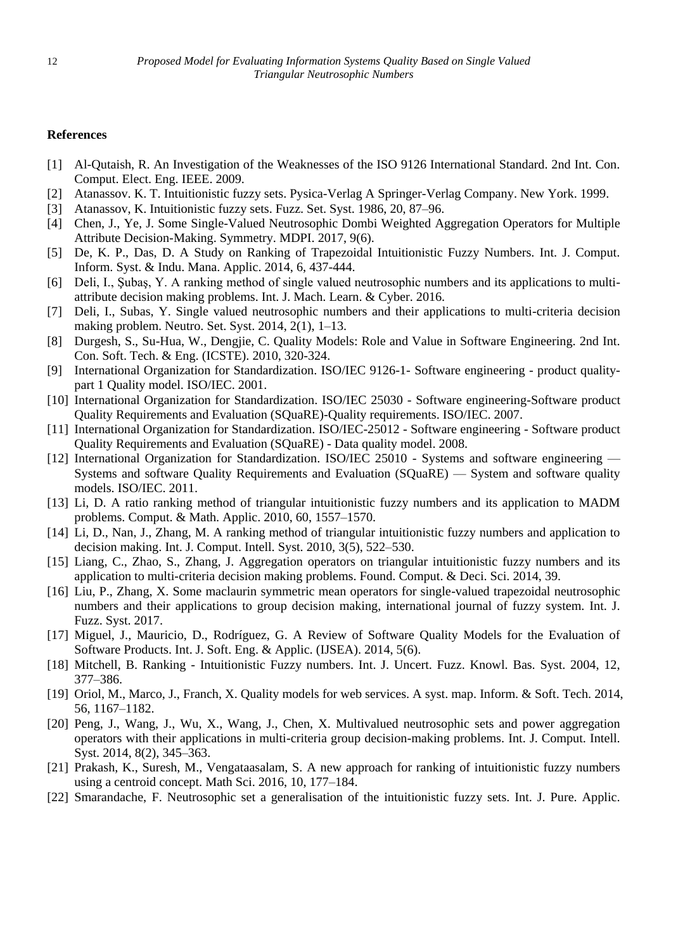## **References**

- [1] Al-Qutaish, R. An Investigation of the Weaknesses of the ISO 9126 International Standard. 2nd Int. Con. Comput. Elect. Eng. IEEE. 2009.
- [2] Atanassov. K. T. Intuitionistic fuzzy sets. Pysica-Verlag A Springer-Verlag Company. New York. 1999.
- [3] Atanassov, K. Intuitionistic fuzzy sets. Fuzz. Set. Syst. 1986, 20, 87–96.
- [4] Chen, J., Ye, J. Some Single-Valued Neutrosophic Dombi Weighted Aggregation Operators for Multiple Attribute Decision-Making. Symmetry. MDPI. 2017, 9(6).
- [5] De, K. P., Das, D. A Study on Ranking of Trapezoidal Intuitionistic Fuzzy Numbers. Int. J. Comput. Inform. Syst. & Indu. Mana. Applic. 2014, 6, 437-444.
- [6] Deli, I., Şubaş, Y. A ranking method of single valued neutrosophic numbers and its applications to multiattribute decision making problems. Int. J. Mach. Learn. & Cyber. 2016.
- [7] Deli, I., Subas, Y. Single valued neutrosophic numbers and their applications to multi-criteria decision making problem. Neutro. Set. Syst. 2014, 2(1), 1–13.
- [8] Durgesh, S., Su-Hua, W., Dengjie, C. Quality Models: Role and Value in Software Engineering. 2nd Int. Con. Soft. Tech. & Eng. (ICSTE). 2010, 320-324.
- [9] International Organization for Standardization. ISO/IEC 9126-1- Software engineering product qualitypart 1 Quality model. ISO/IEC. 2001.
- [10] International Organization for Standardization. ISO/IEC 25030 Software engineering-Software product Quality Requirements and Evaluation (SQuaRE)-Quality requirements. ISO/IEC. 2007.
- [11] International Organization for Standardization. ISO/IEC-25012 Software engineering Software product Quality Requirements and Evaluation (SQuaRE) - Data quality model. 2008.
- [12] International Organization for Standardization. ISO/IEC 25010 Systems and software engineering Systems and software Quality Requirements and Evaluation (SQuaRE) — System and software quality models. ISO/IEC. 2011.
- [13] Li, D. A ratio ranking method of triangular intuitionistic fuzzy numbers and its application to MADM problems. Comput. & Math. Applic. 2010, 60, 1557–1570.
- [14] Li, D., Nan, J., Zhang, M. A ranking method of triangular intuitionistic fuzzy numbers and application to decision making. Int. J. Comput. Intell. Syst. 2010, 3(5), 522–530.
- [15] Liang, C., Zhao, S., Zhang, J. Aggregation operators on triangular intuitionistic fuzzy numbers and its application to multi-criteria decision making problems. Found. Comput. & Deci. Sci. 2014, 39.
- [16] Liu, P., Zhang, X. Some maclaurin symmetric mean operators for single-valued trapezoidal neutrosophic numbers and their applications to group decision making, international journal of fuzzy system. Int. J. Fuzz. Syst. 2017.
- [17] Miguel, J., Mauricio, D., Rodr guez, G. A Review of Software Quality Models for the Evaluation of Software Products. Int. J. Soft. Eng. & Applic. (IJSEA). 2014, 5(6).
- [18] Mitchell, B. Ranking Intuitionistic Fuzzy numbers. Int. J. Uncert. Fuzz. Knowl. Bas. Syst. 2004, 12, 377–386.
- [19] Oriol, M., Marco, J., Franch, X. Quality models for web services. A syst. map. Inform. & Soft. Tech. 2014, 56, 1167–1182.
- [20] Peng, J., Wang, J., Wu, X., Wang, J., Chen, X. Multivalued neutrosophic sets and power aggregation operators with their applications in multi-criteria group decision-making problems. Int. J. Comput. Intell. Syst. 2014, 8(2), 345–363.
- [21] Prakash, K., Suresh, M., Vengataasalam, S. A new approach for ranking of intuitionistic fuzzy numbers using a centroid concept. Math Sci. 2016, 10, 177–184.
- [22] Smarandache, F. Neutrosophic set a generalisation of the intuitionistic fuzzy sets. Int. J. Pure. Applic.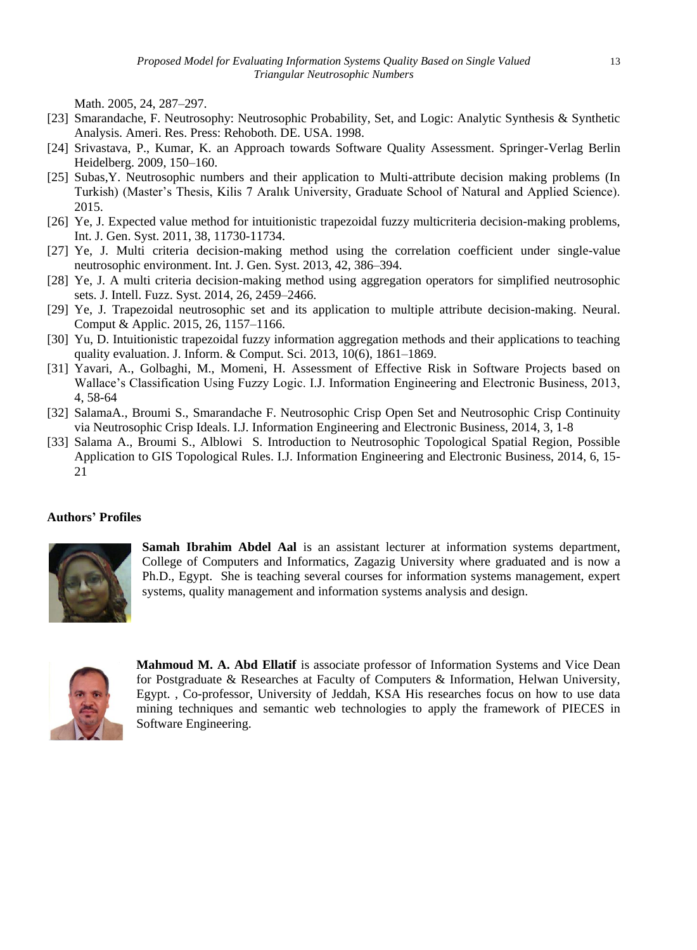Math. 2005, 24, 287–297.

- [23] Smarandache, F. Neutrosophy: Neutrosophic Probability, Set, and Logic: Analytic Synthesis & Synthetic Analysis. Ameri. Res. Press: Rehoboth. DE. USA. 1998.
- [24] Srivastava, P., Kumar, K. an Approach towards Software Quality Assessment. Springer-Verlag Berlin Heidelberg. 2009, 150–160.
- [25] Subas,Y. Neutrosophic numbers and their application to Multi-attribute decision making problems (In Turkish) (Master's Thesis, Kilis 7 Aralık University, Graduate School of Natural and Applied Science). 2015.
- [26] Ye, J. Expected value method for intuitionistic trapezoidal fuzzy multicriteria decision-making problems, Int. J. Gen. Syst. 2011, 38, 11730-11734.
- [27] Ye, J. Multi criteria decision-making method using the correlation coefficient under single-value neutrosophic environment. Int. J. Gen. Syst. 2013, 42, 386–394.
- [28] Ye, J. A multi criteria decision-making method using aggregation operators for simplified neutrosophic sets. J. Intell. Fuzz. Syst. 2014, 26, 2459–2466.
- [29] Ye, J. Trapezoidal neutrosophic set and its application to multiple attribute decision-making. Neural. Comput & Applic. 2015, 26, 1157–1166.
- [30] Yu, D. Intuitionistic trapezoidal fuzzy information aggregation methods and their applications to teaching quality evaluation. J. Inform. & Comput. Sci. 2013, 10(6), 1861–1869.
- [31] Yavari, A., Golbaghi, M., Momeni, H. Assessment of Effective Risk in Software Projects based on Wallace's Classification Using Fuzzy Logic. I.J. Information Engineering and Electronic Business, 2013, 4, 58-64
- [32] SalamaA., Broumi S., Smarandache F. Neutrosophic Crisp Open Set and Neutrosophic Crisp Continuity via Neutrosophic Crisp Ideals. I.J. Information Engineering and Electronic Business, 2014, 3, 1-8
- [33] Salama A., Broumi S., Alblowi S. Introduction to Neutrosophic Topological Spatial Region, Possible Application to GIS Topological Rules. I.J. Information Engineering and Electronic Business, 2014, 6, 15- 21

# **Authors' Profiles**



**Samah Ibrahim Abdel Aal** is an assistant lecturer at information systems department, College of Computers and Informatics, Zagazig University where graduated and is now a Ph.D., Egypt. She is teaching several courses for information systems management, expert systems, quality management and information systems analysis and design.



**Mahmoud M. A. Abd Ellatif** is associate professor of Information Systems and Vice Dean for Postgraduate & Researches at Faculty of Computers & Information, Helwan University, Egypt. , Co-professor, University of Jeddah, KSA His researches focus on how to use data mining techniques and semantic web technologies to apply the framework of PIECES in Software Engineering.